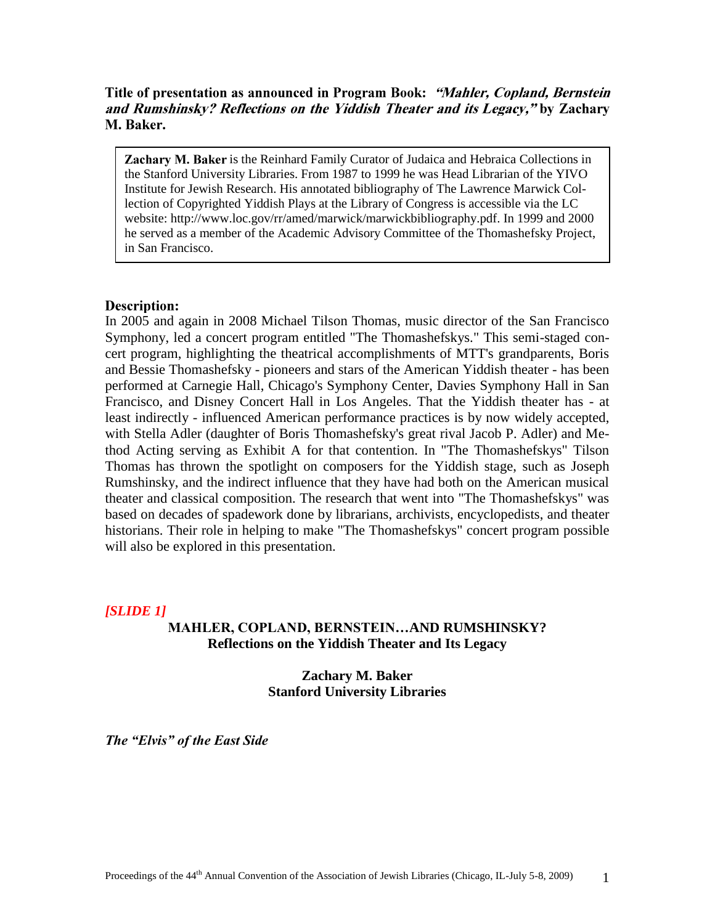# Title of presentation as announced in Program Book: "Mahler, Copland, Bernstein and Rumshinsky? Reflections on the Yiddish Theater and its Legacy," by Zachary M. Baker.

Zachary M. Baker is the Reinhard Family Curator of Judaica and Hebraica Collections in the Stanford University Libraries. From 1987 to 1999 he was Head Librarian of the YIVO Institute for Jewish Research. His annotated bibliography of The Lawrence Marwick Collection of Copyrighted Yiddish Plays at the Library of Congress is accessible via the LC website: http://www.loc.gov/rr/amed/marwick/marwickbibliography.pdf. In 1999 and 2000 he served as a member of the Academic Advisory Committee of the Thomashefsky Project, in San Francisco.

# **Description:**

In 2005 and again in 2008 Michael Tilson Thomas, music director of the San Francisco Symphony, led a concert program entitled "The Thomashefskys." This semi-staged concert program, highlighting the theatrical accomplishments of MTT's grandparents, Boris and Bessie Thomashefsky - pioneers and stars of the American Yiddish theater - has been performed at Carnegie Hall, Chicago's Symphony Center, Davies Symphony Hall in San Francisco, and Disney Concert Hall in Los Angeles. That the Yiddish theater has - at least indirectly - influenced American performance practices is by now widely accepted, with Stella Adler (daughter of Boris Thomashefsky's great rival Jacob P. Adler) and Method Acting serving as Exhibit A for that contention. In "The Thomashefskys" Tilson Thomas has thrown the spotlight on composers for the Yiddish stage, such as Joseph Rumshinsky, and the indirect influence that they have had both on the American musical theater and classical composition. The research that went into "The Thomashefskys" was based on decades of spadework done by librarians, archivists, encyclopedists, and theater historians. Their role in helping to make "The Thomashefskys" concert program possible will also be explored in this presentation.

# *[SLIDE 1]*

# **MAHLER, COPLAND, BERNSTEIN…AND RUMSHINSKY? Reflections on the Yiddish Theater and Its Legacy**

**Zachary M. Baker Stanford University Libraries**

*The "Elvis" of the East Side*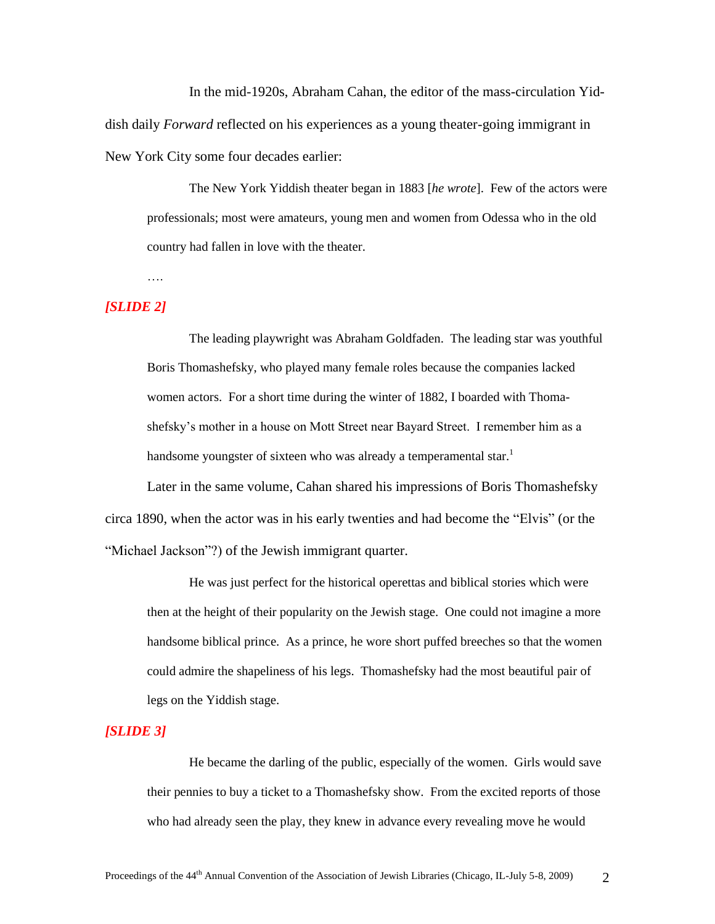In the mid-1920s, Abraham Cahan, the editor of the mass-circulation Yiddish daily *Forward* reflected on his experiences as a young theater-going immigrant in New York City some four decades earlier:

The New York Yiddish theater began in 1883 [*he wrote*]. Few of the actors were professionals; most were amateurs, young men and women from Odessa who in the old country had fallen in love with the theater.

### *[SLIDE 2]*

….

The leading playwright was Abraham Goldfaden. The leading star was youthful Boris Thomashefsky, who played many female roles because the companies lacked women actors. For a short time during the winter of 1882, I boarded with Thomashefsky"s mother in a house on Mott Street near Bayard Street. I remember him as a handsome youngster of sixteen who was already a temperamental star.<sup>1</sup>

Later in the same volume, Cahan shared his impressions of Boris Thomashefsky circa 1890, when the actor was in his early twenties and had become the "Elvis" (or the "Michael Jackson"?) of the Jewish immigrant quarter.

He was just perfect for the historical operettas and biblical stories which were then at the height of their popularity on the Jewish stage. One could not imagine a more handsome biblical prince. As a prince, he wore short puffed breeches so that the women could admire the shapeliness of his legs. Thomashefsky had the most beautiful pair of legs on the Yiddish stage.

## *[SLIDE 3]*

He became the darling of the public, especially of the women. Girls would save their pennies to buy a ticket to a Thomashefsky show. From the excited reports of those who had already seen the play, they knew in advance every revealing move he would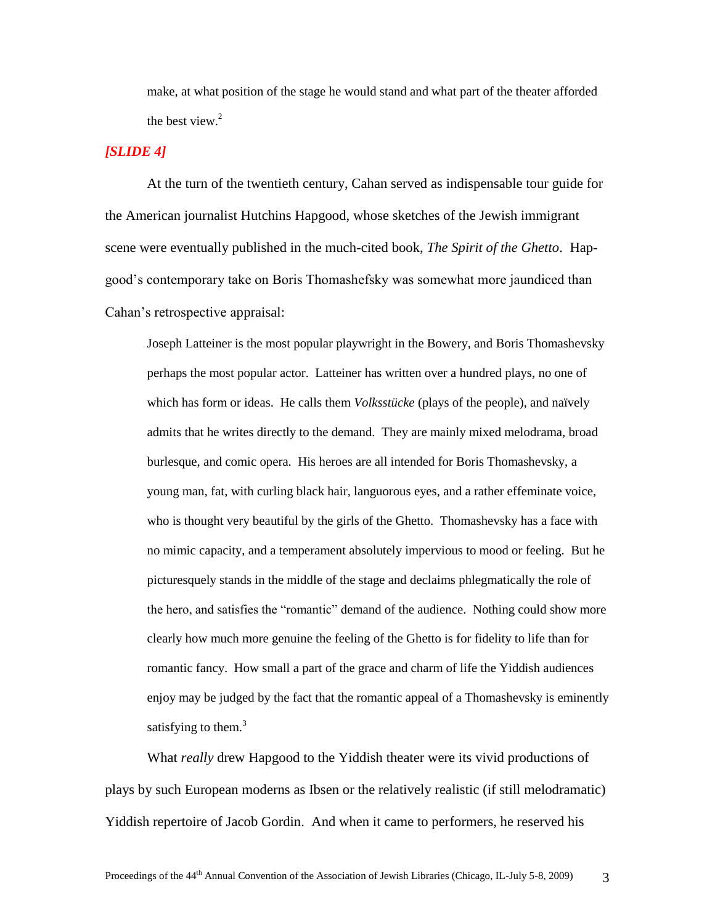make, at what position of the stage he would stand and what part of the theater afforded the best view. $2$ 

## *[SLIDE 4]*

At the turn of the twentieth century, Cahan served as indispensable tour guide for the American journalist Hutchins Hapgood, whose sketches of the Jewish immigrant scene were eventually published in the much-cited book, *The Spirit of the Ghetto*. Hapgood"s contemporary take on Boris Thomashefsky was somewhat more jaundiced than Cahan"s retrospective appraisal:

Joseph Latteiner is the most popular playwright in the Bowery, and Boris Thomashevsky perhaps the most popular actor. Latteiner has written over a hundred plays, no one of which has form or ideas. He calls them *Volksstücke* (plays of the people), and naïvely admits that he writes directly to the demand. They are mainly mixed melodrama, broad burlesque, and comic opera. His heroes are all intended for Boris Thomashevsky, a young man, fat, with curling black hair, languorous eyes, and a rather effeminate voice, who is thought very beautiful by the girls of the Ghetto. Thomashevsky has a face with no mimic capacity, and a temperament absolutely impervious to mood or feeling. But he picturesquely stands in the middle of the stage and declaims phlegmatically the role of the hero, and satisfies the "romantic" demand of the audience. Nothing could show more clearly how much more genuine the feeling of the Ghetto is for fidelity to life than for romantic fancy. How small a part of the grace and charm of life the Yiddish audiences enjoy may be judged by the fact that the romantic appeal of a Thomashevsky is eminently satisfying to them. $3$ 

What *really* drew Hapgood to the Yiddish theater were its vivid productions of plays by such European moderns as Ibsen or the relatively realistic (if still melodramatic) Yiddish repertoire of Jacob Gordin. And when it came to performers, he reserved his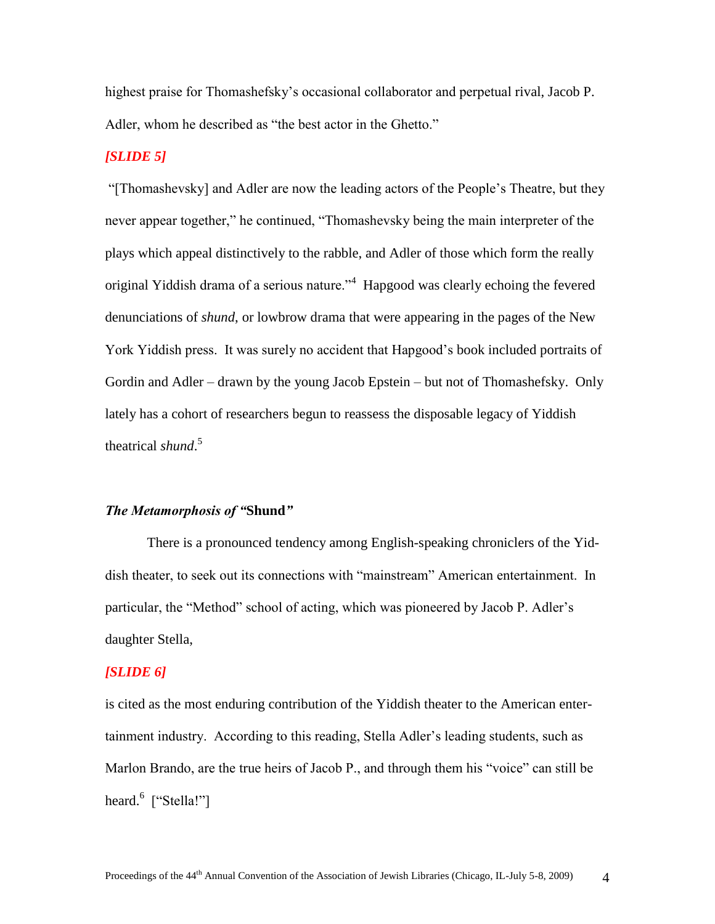highest praise for Thomashefsky"s occasional collaborator and perpetual rival, Jacob P. Adler, whom he described as "the best actor in the Ghetto."

# *[SLIDE 5]*

"[Thomashevsky] and Adler are now the leading actors of the People"s Theatre, but they never appear together," he continued, "Thomashevsky being the main interpreter of the plays which appeal distinctively to the rabble, and Adler of those which form the really original Yiddish drama of a serious nature."<sup>4</sup> Hapgood was clearly echoing the fevered denunciations of *shund*, or lowbrow drama that were appearing in the pages of the New York Yiddish press. It was surely no accident that Hapgood"s book included portraits of Gordin and Adler – drawn by the young Jacob Epstein – but not of Thomashefsky. Only lately has a cohort of researchers begun to reassess the disposable legacy of Yiddish theatrical *shund*. 5

# *The Metamorphosis of "***Shund***"*

There is a pronounced tendency among English-speaking chroniclers of the Yiddish theater, to seek out its connections with "mainstream" American entertainment. In particular, the "Method" school of acting, which was pioneered by Jacob P. Adler"s daughter Stella,

#### *[SLIDE 6]*

is cited as the most enduring contribution of the Yiddish theater to the American entertainment industry. According to this reading, Stella Adler"s leading students, such as Marlon Brando, are the true heirs of Jacob P., and through them his "voice" can still be heard.<sup>6</sup> ["Stella!"]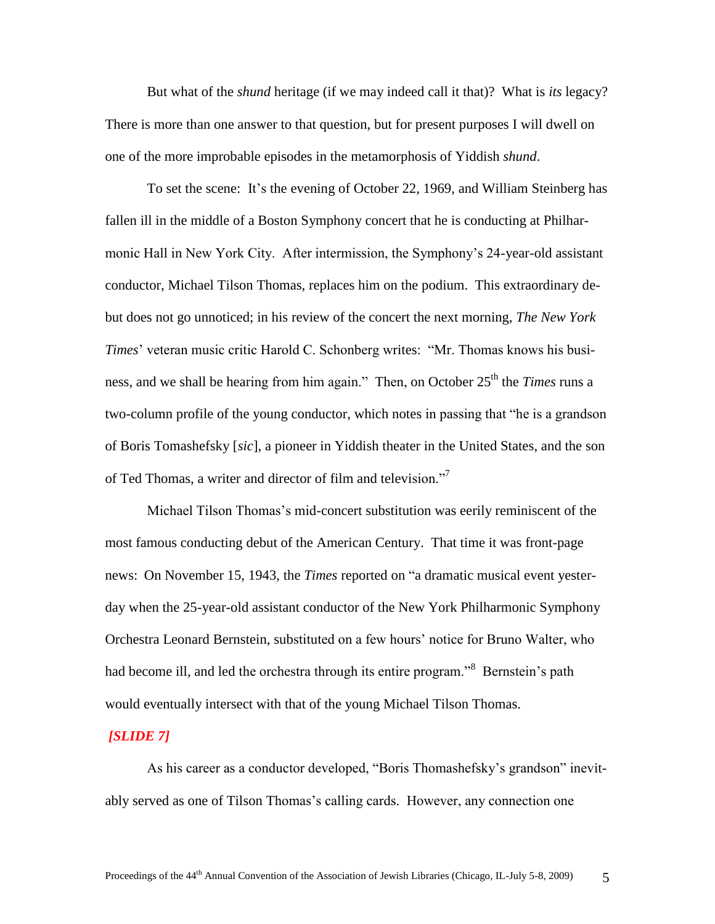But what of the *shund* heritage (if we may indeed call it that)? What is *its* legacy? There is more than one answer to that question, but for present purposes I will dwell on one of the more improbable episodes in the metamorphosis of Yiddish *shund*.

To set the scene: It"s the evening of October 22, 1969, and William Steinberg has fallen ill in the middle of a Boston Symphony concert that he is conducting at Philharmonic Hall in New York City. After intermission, the Symphony"s 24-year-old assistant conductor, Michael Tilson Thomas, replaces him on the podium. This extraordinary debut does not go unnoticed; in his review of the concert the next morning, *The New York Times*" veteran music critic Harold C. Schonberg writes: "Mr. Thomas knows his business, and we shall be hearing from him again." Then, on October 25<sup>th</sup> the *Times* runs a two-column profile of the young conductor, which notes in passing that "he is a grandson of Boris Tomashefsky [*sic*], a pioneer in Yiddish theater in the United States, and the son of Ted Thomas, a writer and director of film and television."<sup>7</sup>

Michael Tilson Thomas"s mid-concert substitution was eerily reminiscent of the most famous conducting debut of the American Century. That time it was front-page news: On November 15, 1943, the *Times* reported on "a dramatic musical event yesterday when the 25-year-old assistant conductor of the New York Philharmonic Symphony Orchestra Leonard Bernstein, substituted on a few hours" notice for Bruno Walter, who had become ill, and led the orchestra through its entire program."<sup>8</sup> Bernstein's path would eventually intersect with that of the young Michael Tilson Thomas.

#### *[SLIDE 7]*

As his career as a conductor developed, "Boris Thomashefsky"s grandson" inevitably served as one of Tilson Thomas"s calling cards. However, any connection one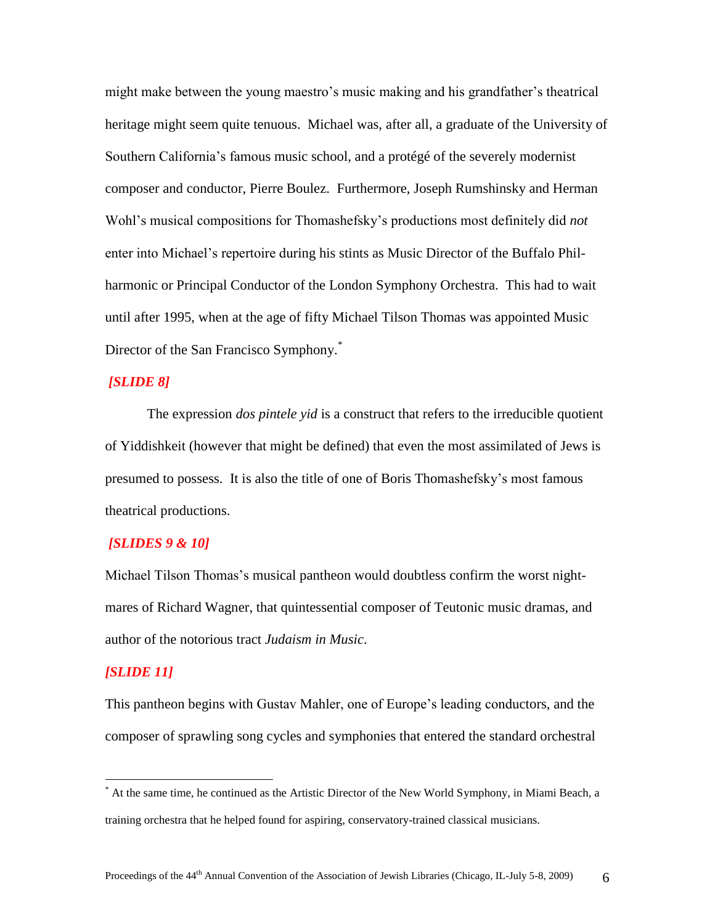might make between the young maestro"s music making and his grandfather"s theatrical heritage might seem quite tenuous. Michael was, after all, a graduate of the University of Southern California"s famous music school, and a protégé of the severely modernist composer and conductor, Pierre Boulez. Furthermore, Joseph Rumshinsky and Herman Wohl"s musical compositions for Thomashefsky"s productions most definitely did *not* enter into Michael"s repertoire during his stints as Music Director of the Buffalo Philharmonic or Principal Conductor of the London Symphony Orchestra. This had to wait until after 1995, when at the age of fifty Michael Tilson Thomas was appointed Music Director of the San Francisco Symphony.<sup>\*</sup>

## *[SLIDE 8]*

The expression *dos pintele yid* is a construct that refers to the irreducible quotient of Yiddishkeit (however that might be defined) that even the most assimilated of Jews is presumed to possess. It is also the title of one of Boris Thomashefsky"s most famous theatrical productions.

# *[SLIDES 9 & 10]*

Michael Tilson Thomas"s musical pantheon would doubtless confirm the worst nightmares of Richard Wagner, that quintessential composer of Teutonic music dramas, and author of the notorious tract *Judaism in Music*.

#### *[SLIDE 11]*

 $\overline{a}$ 

This pantheon begins with Gustav Mahler, one of Europe"s leading conductors, and the composer of sprawling song cycles and symphonies that entered the standard orchestral

<sup>\*</sup> At the same time, he continued as the Artistic Director of the New World Symphony, in Miami Beach, a training orchestra that he helped found for aspiring, conservatory-trained classical musicians.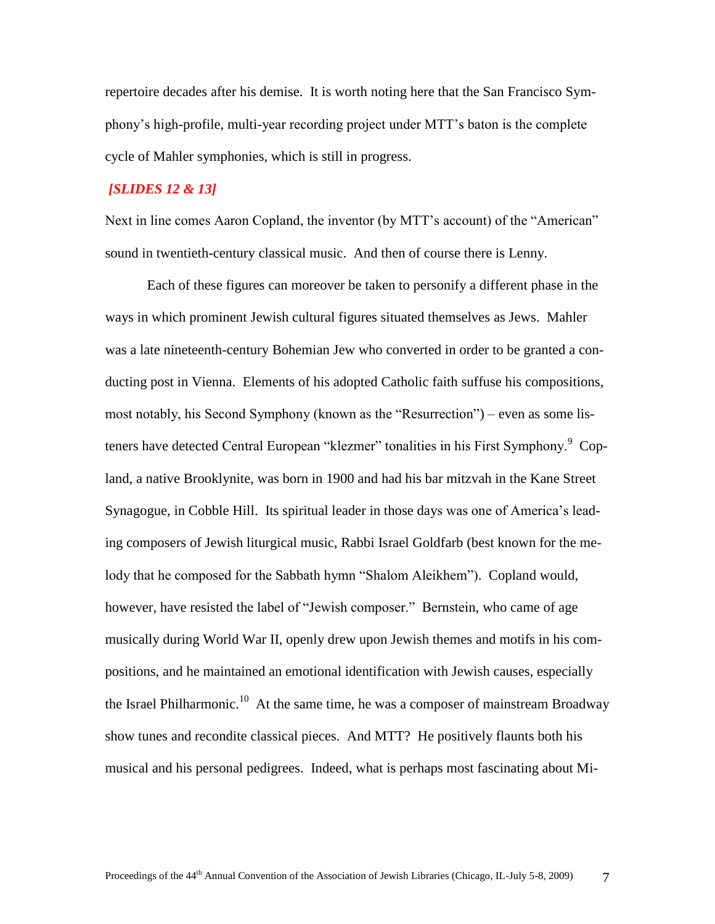repertoire decades after his demise. It is worth noting here that the San Francisco Symphony"s high-profile, multi-year recording project under MTT"s baton is the complete cycle of Mahler symphonies, which is still in progress.

## *[SLIDES 12 & 13]*

Next in line comes Aaron Copland, the inventor (by MTT"s account) of the "American" sound in twentieth-century classical music. And then of course there is Lenny.

Each of these figures can moreover be taken to personify a different phase in the ways in which prominent Jewish cultural figures situated themselves as Jews. Mahler was a late nineteenth-century Bohemian Jew who converted in order to be granted a conducting post in Vienna. Elements of his adopted Catholic faith suffuse his compositions, most notably, his Second Symphony (known as the "Resurrection") – even as some listeners have detected Central European "klezmer" tonalities in his First Symphony.<sup>9</sup> Copland, a native Brooklynite, was born in 1900 and had his bar mitzvah in the Kane Street Synagogue, in Cobble Hill. Its spiritual leader in those days was one of America"s leading composers of Jewish liturgical music, Rabbi Israel Goldfarb (best known for the melody that he composed for the Sabbath hymn "Shalom Aleikhem"). Copland would, however, have resisted the label of "Jewish composer." Bernstein, who came of age musically during World War II, openly drew upon Jewish themes and motifs in his compositions, and he maintained an emotional identification with Jewish causes, especially the Israel Philharmonic.<sup>10</sup> At the same time, he was a composer of mainstream Broadway show tunes and recondite classical pieces. And MTT? He positively flaunts both his musical and his personal pedigrees. Indeed, what is perhaps most fascinating about Mi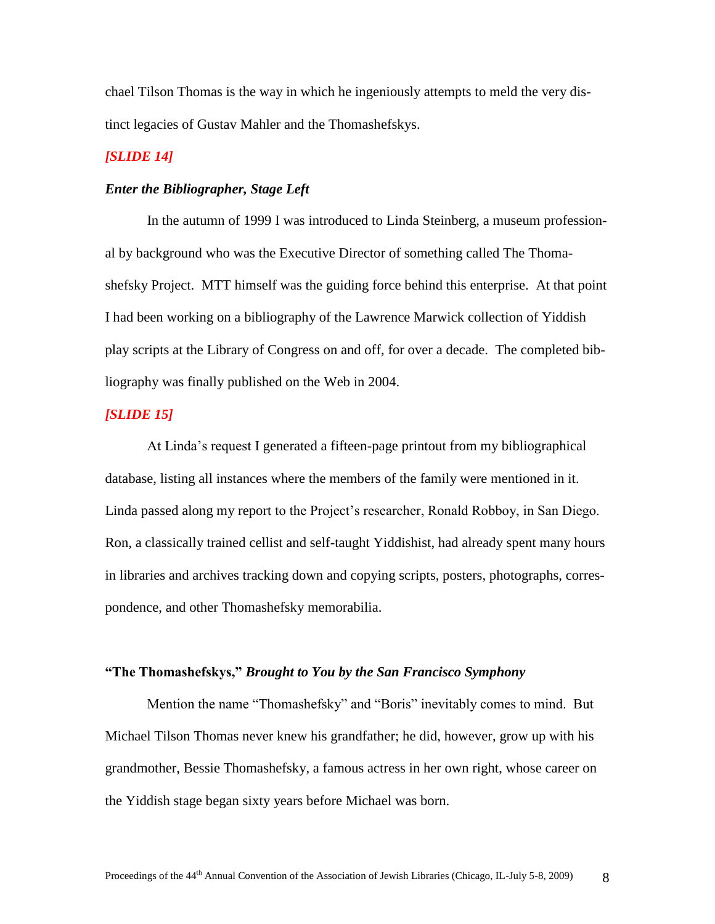chael Tilson Thomas is the way in which he ingeniously attempts to meld the very distinct legacies of Gustav Mahler and the Thomashefskys.

### *[SLIDE 14]*

### *Enter the Bibliographer, Stage Left*

In the autumn of 1999 I was introduced to Linda Steinberg, a museum professional by background who was the Executive Director of something called The Thomashefsky Project. MTT himself was the guiding force behind this enterprise. At that point I had been working on a bibliography of the Lawrence Marwick collection of Yiddish play scripts at the Library of Congress on and off, for over a decade. The completed bibliography was finally published on the Web in 2004.

### *[SLIDE 15]*

At Linda"s request I generated a fifteen-page printout from my bibliographical database, listing all instances where the members of the family were mentioned in it. Linda passed along my report to the Project"s researcher, Ronald Robboy, in San Diego. Ron, a classically trained cellist and self-taught Yiddishist, had already spent many hours in libraries and archives tracking down and copying scripts, posters, photographs, correspondence, and other Thomashefsky memorabilia.

### **"The Thomashefskys,"** *Brought to You by the San Francisco Symphony*

Mention the name "Thomashefsky" and "Boris" inevitably comes to mind. But Michael Tilson Thomas never knew his grandfather; he did, however, grow up with his grandmother, Bessie Thomashefsky, a famous actress in her own right, whose career on the Yiddish stage began sixty years before Michael was born.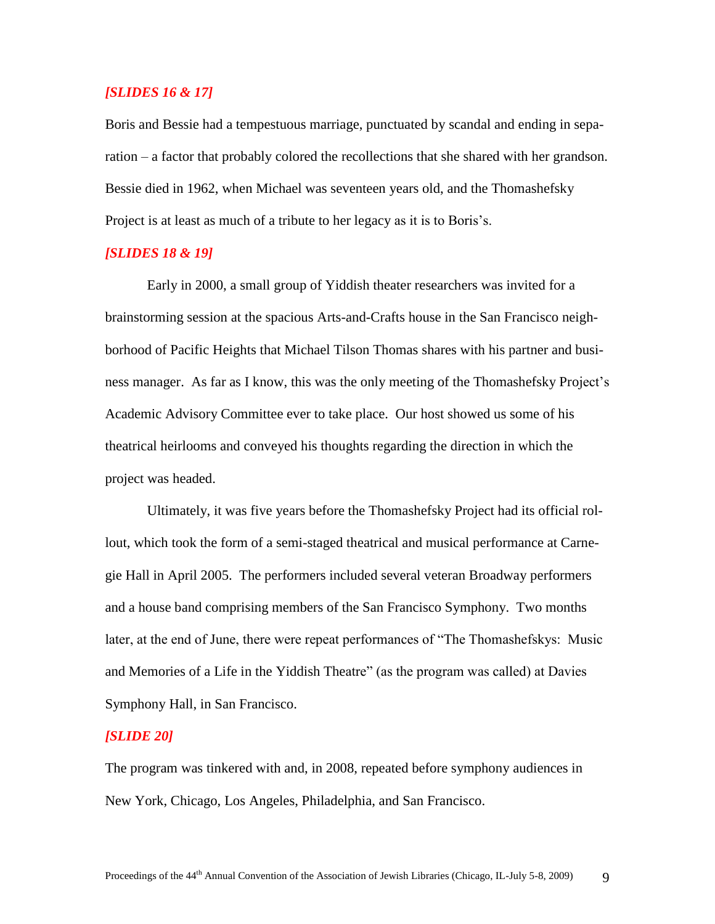# *[SLIDES 16 & 17]*

Boris and Bessie had a tempestuous marriage, punctuated by scandal and ending in separation – a factor that probably colored the recollections that she shared with her grandson. Bessie died in 1962, when Michael was seventeen years old, and the Thomashefsky Project is at least as much of a tribute to her legacy as it is to Boris's.

# *[SLIDES 18 & 19]*

Early in 2000, a small group of Yiddish theater researchers was invited for a brainstorming session at the spacious Arts-and-Crafts house in the San Francisco neighborhood of Pacific Heights that Michael Tilson Thomas shares with his partner and business manager. As far as I know, this was the only meeting of the Thomashefsky Project"s Academic Advisory Committee ever to take place. Our host showed us some of his theatrical heirlooms and conveyed his thoughts regarding the direction in which the project was headed.

Ultimately, it was five years before the Thomashefsky Project had its official rollout, which took the form of a semi-staged theatrical and musical performance at Carnegie Hall in April 2005. The performers included several veteran Broadway performers and a house band comprising members of the San Francisco Symphony. Two months later, at the end of June, there were repeat performances of "The Thomashefskys: Music and Memories of a Life in the Yiddish Theatre" (as the program was called) at Davies Symphony Hall, in San Francisco.

### *[SLIDE 20]*

The program was tinkered with and, in 2008, repeated before symphony audiences in New York, Chicago, Los Angeles, Philadelphia, and San Francisco.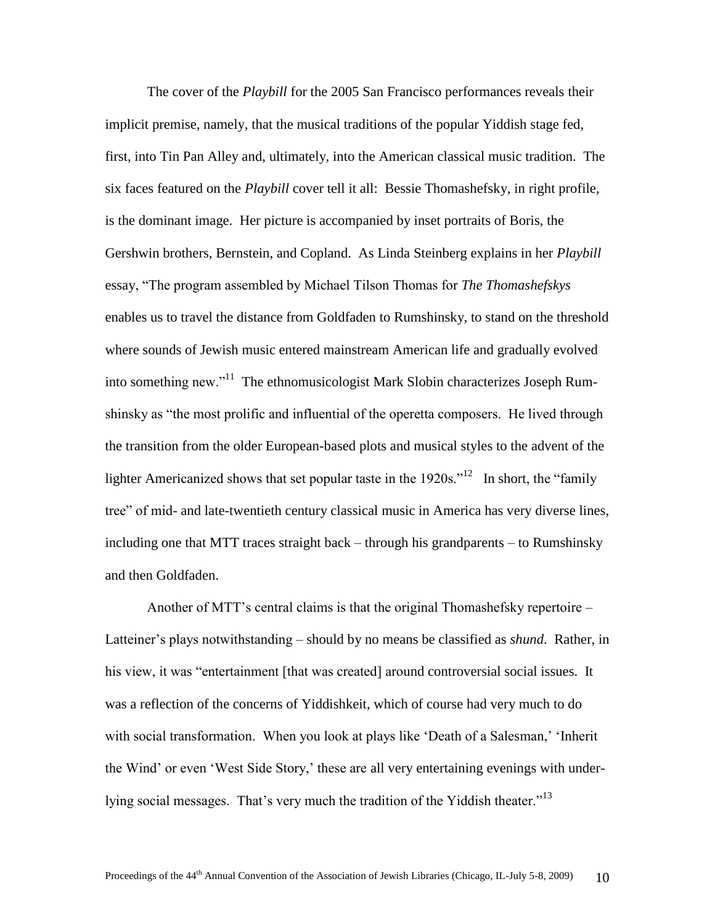The cover of the *Playbill* for the 2005 San Francisco performances reveals their implicit premise, namely, that the musical traditions of the popular Yiddish stage fed, first, into Tin Pan Alley and, ultimately, into the American classical music tradition. The six faces featured on the *Playbill* cover tell it all: Bessie Thomashefsky, in right profile, is the dominant image. Her picture is accompanied by inset portraits of Boris, the Gershwin brothers, Bernstein, and Copland. As Linda Steinberg explains in her *Playbill*  essay, "The program assembled by Michael Tilson Thomas for *The Thomashefskys* enables us to travel the distance from Goldfaden to Rumshinsky, to stand on the threshold where sounds of Jewish music entered mainstream American life and gradually evolved into something new."<sup>11</sup> The ethnomusicologist Mark Slobin characterizes Joseph Rumshinsky as "the most prolific and influential of the operetta composers. He lived through the transition from the older European-based plots and musical styles to the advent of the lighter Americanized shows that set popular taste in the  $1920s$ .<sup>"12</sup> In short, the "family" tree" of mid- and late-twentieth century classical music in America has very diverse lines, including one that MTT traces straight back – through his grandparents – to Rumshinsky and then Goldfaden.

Another of MTT"s central claims is that the original Thomashefsky repertoire – Latteiner's plays notwithstanding – should by no means be classified as *shund*. Rather, in his view, it was "entertainment [that was created] around controversial social issues. It was a reflection of the concerns of Yiddishkeit, which of course had very much to do with social transformation. When you look at plays like 'Death of a Salesman,' 'Inherit the Wind" or even "West Side Story," these are all very entertaining evenings with underlying social messages. That's very much the tradition of the Yiddish theater."<sup>13</sup>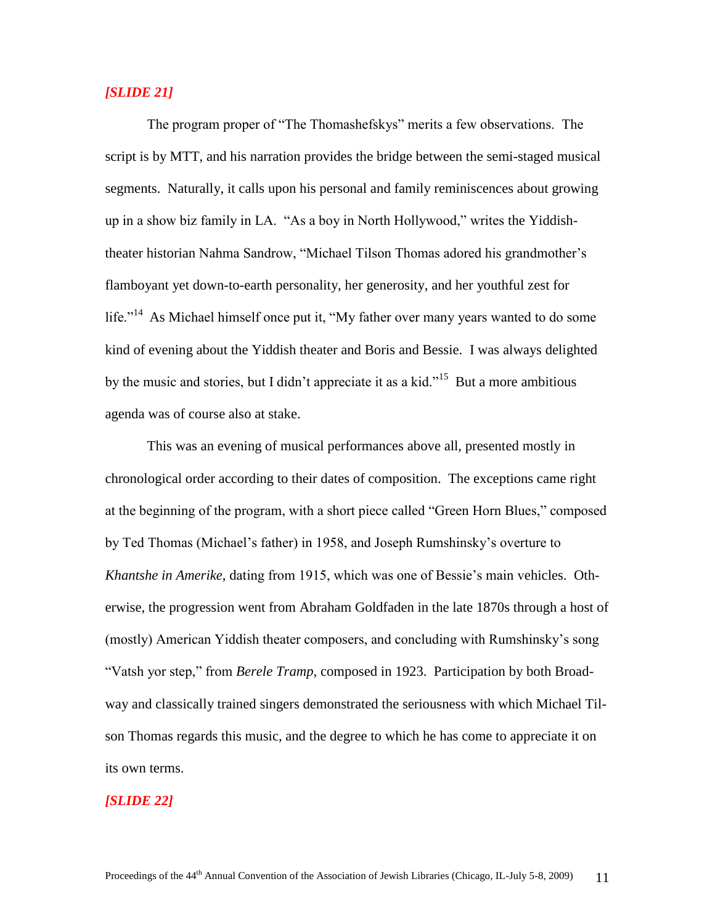# *[SLIDE 21]*

The program proper of "The Thomashefskys" merits a few observations. The script is by MTT, and his narration provides the bridge between the semi-staged musical segments. Naturally, it calls upon his personal and family reminiscences about growing up in a show biz family in LA. "As a boy in North Hollywood," writes the Yiddishtheater historian Nahma Sandrow, "Michael Tilson Thomas adored his grandmother"s flamboyant yet down-to-earth personality, her generosity, and her youthful zest for life."<sup>14</sup> As Michael himself once put it, "My father over many years wanted to do some kind of evening about the Yiddish theater and Boris and Bessie. I was always delighted by the music and stories, but I didn't appreciate it as a kid."<sup>15</sup> But a more ambitious agenda was of course also at stake.

This was an evening of musical performances above all, presented mostly in chronological order according to their dates of composition. The exceptions came right at the beginning of the program, with a short piece called "Green Horn Blues," composed by Ted Thomas (Michael"s father) in 1958, and Joseph Rumshinsky"s overture to *Khantshe in Amerike*, dating from 1915, which was one of Bessie's main vehicles. Otherwise, the progression went from Abraham Goldfaden in the late 1870s through a host of (mostly) American Yiddish theater composers, and concluding with Rumshinsky"s song "Vatsh yor step," from *Berele Tramp*, composed in 1923. Participation by both Broadway and classically trained singers demonstrated the seriousness with which Michael Tilson Thomas regards this music, and the degree to which he has come to appreciate it on its own terms.

#### *[SLIDE 22]*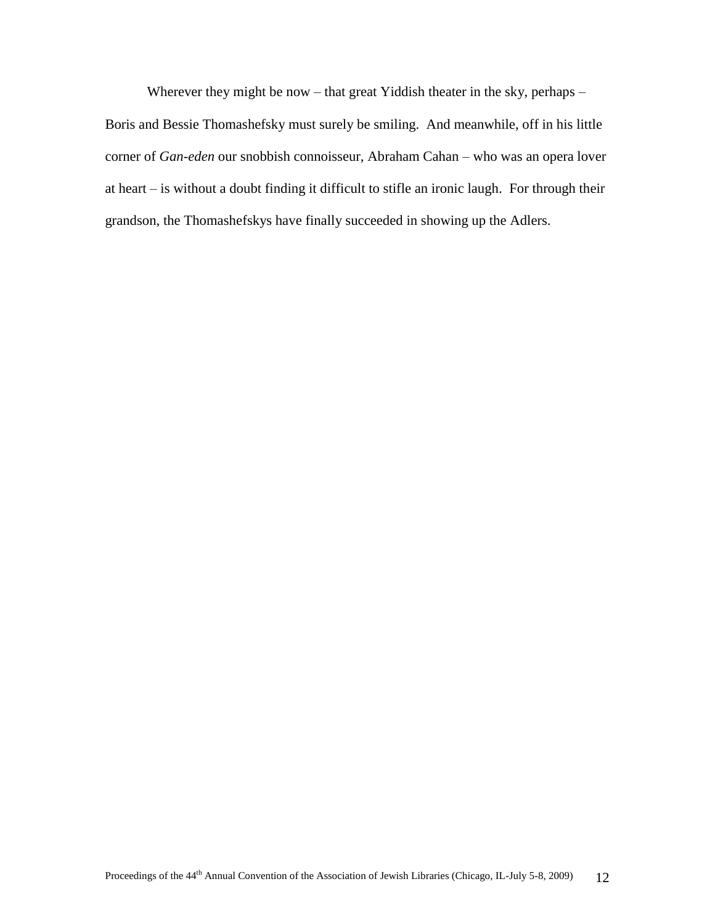Wherever they might be now – that great Yiddish theater in the sky, perhaps – Boris and Bessie Thomashefsky must surely be smiling. And meanwhile, off in his little corner of *Gan-eden* our snobbish connoisseur, Abraham Cahan – who was an opera lover at heart – is without a doubt finding it difficult to stifle an ironic laugh. For through their grandson, the Thomashefskys have finally succeeded in showing up the Adlers.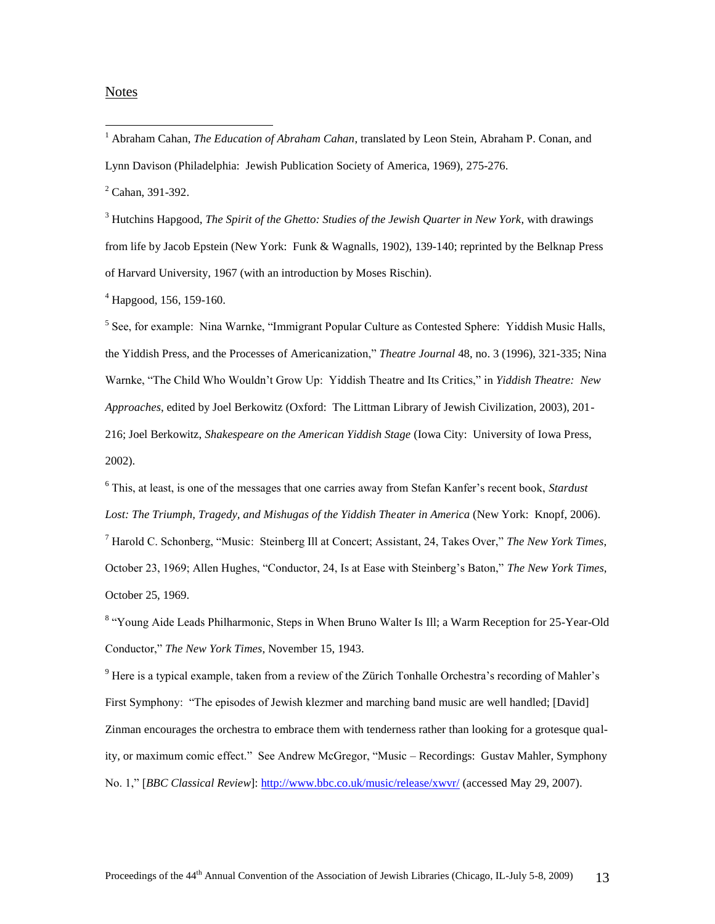#### **Notes**

 $\overline{a}$ 

 $2^2$  Cahan, 391-392.

<sup>3</sup> Hutchins Hapgood, *The Spirit of the Ghetto: Studies of the Jewish Quarter in New York*, with drawings from life by Jacob Epstein (New York: Funk & Wagnalls, 1902), 139-140; reprinted by the Belknap Press of Harvard University, 1967 (with an introduction by Moses Rischin).

 $^{4}$  Hapgood, 156, 159-160.

<sup>5</sup> See, for example: Nina Warnke, "Immigrant Popular Culture as Contested Sphere: Yiddish Music Halls, the Yiddish Press, and the Processes of Americanization," *Theatre Journal* 48, no. 3 (1996), 321-335; Nina Warnke, "The Child Who Wouldn"t Grow Up: Yiddish Theatre and Its Critics," in *Yiddish Theatre: New Approaches*, edited by Joel Berkowitz (Oxford: The Littman Library of Jewish Civilization, 2003), 201- 216; Joel Berkowitz, *Shakespeare on the American Yiddish Stage* (Iowa City: University of Iowa Press, 2002).

<sup>6</sup> This, at least, is one of the messages that one carries away from Stefan Kanfer"s recent book, *Stardust Lost: The Triumph, Tragedy, and Mishugas of the Yiddish Theater in America* (New York: Knopf, 2006). <sup>7</sup> Harold C. Schonberg, "Music: Steinberg Ill at Concert; Assistant, 24, Takes Over," *The New York Times*, October 23, 1969; Allen Hughes, "Conductor, 24, Is at Ease with Steinberg"s Baton," *The New York Times*, October 25, 1969.

<sup>8</sup> "Young Aide Leads Philharmonic, Steps in When Bruno Walter Is Ill; a Warm Reception for 25-Year-Old Conductor," *The New York Times*, November 15, 1943.

 $9$  Here is a typical example, taken from a review of the Zürich Tonhalle Orchestra's recording of Mahler's First Symphony: "The episodes of Jewish klezmer and marching band music are well handled; [David] Zinman encourages the orchestra to embrace them with tenderness rather than looking for a grotesque quality, or maximum comic effect." See Andrew McGregor, "Music – Recordings: Gustav Mahler, Symphony No. 1," [*BBC Classical Review*][: http://www.bbc.co.uk/music/release/xwvr/](http://www.bbc.co.uk/music/release/xwvr/) (accessed May 29, 2007).

<sup>1</sup> Abraham Cahan, *The Education of Abraham Cahan*, translated by Leon Stein, Abraham P. Conan, and Lynn Davison (Philadelphia: Jewish Publication Society of America, 1969), 275-276.